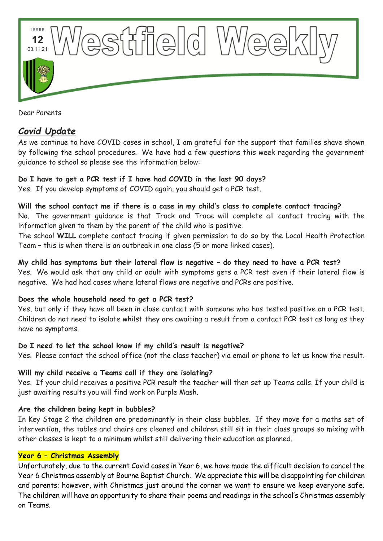

Dear Parents

# *Covid Update*

As we continue to have COVID cases in school, I am grateful for the support that families shave shown by following the school procedures. We have had a few questions this week regarding the government guidance to school so please see the information below:

# **Do I have to get a PCR test if I have had COVID in the last 90 days?**

Yes. If you develop symptoms of COVID again, you should get a PCR test.

#### **Will the school contact me if there is a case in my child's class to complete contact tracing?**

No. The government guidance is that Track and Trace will complete all contact tracing with the information given to them by the parent of the child who is positive.

The school **WILL** complete contact tracing if given permission to do so by the Local Health Protection Team – this is when there is an outbreak in one class (5 or more linked cases).

# **My child has symptoms but their lateral flow is negative – do they need to have a PCR test?**

Yes. We would ask that any child or adult with symptoms gets a PCR test even if their lateral flow is negative. We had had cases where lateral flows are negative and PCRs are positive.

# **Does the whole household need to get a PCR test?**

Yes, but only if they have all been in close contact with someone who has tested positive on a PCR test. Children do not need to isolate whilst they are awaiting a result from a contact PCR test as long as they have no symptoms.

#### **Do I need to let the school know if my child's result is negative?**

Yes. Please contact the school office (not the class teacher) via email or phone to let us know the result.

#### **Will my child receive a Teams call if they are isolating?**

Yes. If your child receives a positive PCR result the teacher will then set up Teams calls. If your child is just awaiting results you will find work on Purple Mash.

#### **Are the children being kept in bubbles?**

In Key Stage 2 the children are predominantly in their class bubbles. If they move for a maths set of intervention, the tables and chairs are cleaned and children still sit in their class groups so mixing with other classes is kept to a minimum whilst still delivering their education as planned.

#### **Year 6 – Christmas Assembly**

Unfortunately, due to the current Covid cases in Year 6, we have made the difficult decision to cancel the Year 6 Christmas assembly at Bourne Baptist Church. We appreciate this will be disappointing for children and parents; however, with Christmas just around the corner we want to ensure we keep everyone safe. The children will have an opportunity to share their poems and readings in the school's Christmas assembly on Teams.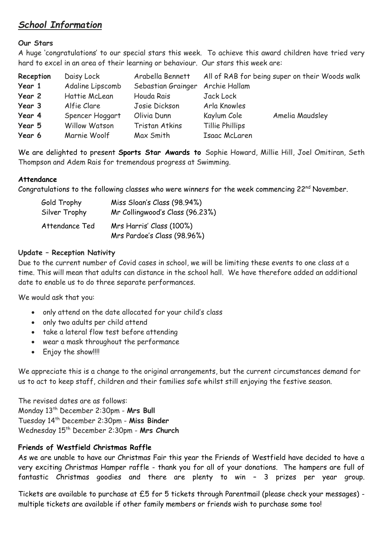# *School Information*

# **Our Stars**

A huge 'congratulations' to our special stars this week. To achieve this award children have tried very hard to excel in an area of their learning or behaviour. Our stars this week are:

| Reception | Daisy Lock       | Arabella Bennett                 |                 | All of RAB for being super on their Woods walk |
|-----------|------------------|----------------------------------|-----------------|------------------------------------------------|
| Year 1    | Adaline Lipscomb | Sebastian Grainger Archie Hallam |                 |                                                |
| Year 2    | Hattie McLean    | Houda Rais                       | Jack Lock       |                                                |
| Year 3    | Alfie Clare      | Josie Dickson                    | Arla Knowles    |                                                |
| Year 4    | Spencer Hoggart  | Olivia Dunn                      | Kaylum Cole     | Amelia Maudsley                                |
| Year 5    | Willow Watson    | Tristan Atkins                   | Tillie Phillips |                                                |
| Year 6    | Marnie Woolf     | Max Smith                        | Isaac McLaren   |                                                |

We are delighted to present **Sports Star Awards to** Sophie Howard, Millie Hill, Joel Omitiran, Seth Thompson and Adem Rais for tremendous progress at Swimming.

#### **Attendance**

Congratulations to the following classes who were winners for the week commencing  $22^{nd}$  November.

| Gold Trophy    | Miss Sloan's Class (98.94%)                             |
|----------------|---------------------------------------------------------|
| Silver Trophy  | Mr Collingwood's Class (96.23%)                         |
| Attendance Ted | Mrs Harris' Class (100%)<br>Mrs Pardoe's Class (98.96%) |

# **Update – Reception Nativity**

Due to the current number of Covid cases in school, we will be limiting these events to one class at a time. This will mean that adults can distance in the school hall. We have therefore added an additional date to enable us to do three separate performances.

We would ask that you:

- only attend on the date allocated for your child's class
- only two adults per child attend
- take a lateral flow test before attending
- wear a mask throughout the performance
- Enjoy the show!!!!

We appreciate this is a change to the original arrangements, but the current circumstances demand for us to act to keep staff, children and their families safe whilst still enjoying the festive season.

The revised dates are as follows: Monday 13th December 2:30pm - **Mrs Bull** Tuesday 14th December 2:30pm - **Miss Binder** Wednesday 15th December 2:30pm - **Mrs Church**

# **Friends of Westfield Christmas Raffle**

As we are unable to have our Christmas Fair this year the Friends of Westfield have decided to have a very exciting Christmas Hamper raffle - thank you for all of your donations. The hampers are full of fantastic Christmas goodies and there are plenty to win – 3 prizes per year group.

Tickets are available to purchase at £5 for 5 tickets through Parentmail (please check your messages) multiple tickets are available if other family members or friends wish to purchase some too!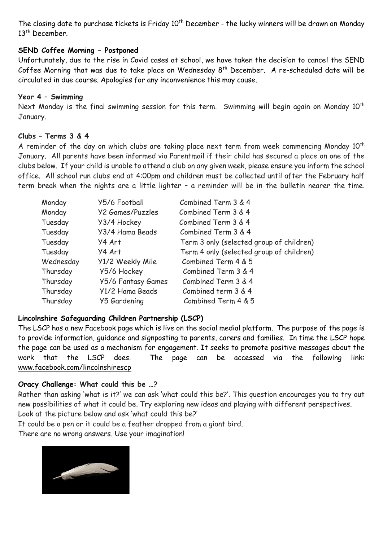The closing date to purchase tickets is Friday 10<sup>th</sup> December - the lucky winners will be drawn on Monday 13th December.

#### **SEND Coffee Morning - Postponed**

Unfortunately, due to the rise in Covid cases at school, we have taken the decision to cancel the SEND Coffee Morning that was due to take place on Wednesday 8<sup>th</sup> December. A re-scheduled date will be circulated in due course. Apologies for any inconvenience this may cause.

#### **Year 4 – Swimming**

Next Monday is the final swimming session for this term. Swimming will begin again on Monday 10<sup>th</sup> January.

#### **Clubs – Terms 3 & 4**

A reminder of the day on which clubs are taking place next term from week commencing Monday  $10^{th}$ January. All parents have been informed via Parentmail if their child has secured a place on one of the clubs below. If your child is unable to attend a club on any given week, please ensure you inform the school office. All school run clubs end at 4:00pm and children must be collected until after the February half term break when the nights are a little lighter – a reminder will be in the bulletin nearer the time.

| Monday    | Y5/6 Football           | Combined Term 3 & 4                      |
|-----------|-------------------------|------------------------------------------|
| Monday    | <b>Y2 Games/Puzzles</b> | Combined Term 3 & 4                      |
| Tuesday   | Y3/4 Hockey             | Combined Term 3 & 4                      |
| Tuesday   | Y3/4 Hama Beads         | Combined Term 3 & 4                      |
| Tuesday   | Y4 Art                  | Term 3 only (selected group of children) |
| Tuesday   | Y4 Art                  | Term 4 only (selected group of children) |
| Wednesday | Y1/2 Weekly Mile        | Combined Term 4 & 5                      |
| Thursday  | Y5/6 Hockey             | Combined Term 3 & 4                      |
| Thursday  | Y5/6 Fantasy Games      | Combined Term 3 & 4                      |
| Thursday  | Y1/2 Hama Beads         | Combined term 3 & 4                      |
| Thursday  | Y5 Gardening            | Combined Term 4 & 5                      |

# **Lincolnshire Safeguarding Children Partnership (LSCP)**

The LSCP has a new Facebook page which is live on the social medial platform. The purpose of the page is to provide information, guidance and signposting to parents, carers and families. In time the LSCP hope the page can be used as a mechanism for engagement. It seeks to promote positive messages about the work that the LSCP does. The page can be accessed via the following link: [www.facebook.com/lincolnshirescp](https://gbr01.safelinks.protection.outlook.com/?url=http%3A%2F%2Fwww.facebook.com%2Flincolnshirescp&data=04%7C01%7CEducationTeam%40lincolnshire.gov.uk%7Cc253eefecdf245809a5e08d9ae890c22%7Cb4e05b92f8ce46b59b2499ba5c11e5e9%7C0%7C0%7C637732725916614976%7CUnknown%7CTWFpbGZsb3d8eyJWIjoiMC4wLjAwMDAiLCJQIjoiV2luMzIiLCJBTiI6Ik1haWwiLCJXVCI6Mn0%3D%7C3000&sdata=clfbsgOZkzomGw2RFzWRgNXXCiyJwBNPD9SgA03xHsA%3D&reserved=0)

#### **Oracy Challenge: What could this be …?**

Rather than asking 'what is it?' we can ask 'what could this be?'. This question encourages you to try out new possibilities of what it could be. Try exploring new ideas and playing with different perspectives. Look at the picture below and ask 'what could this be?'

It could be a pen or it could be a feather dropped from a giant bird.

There are no wrong answers. Use your imagination!